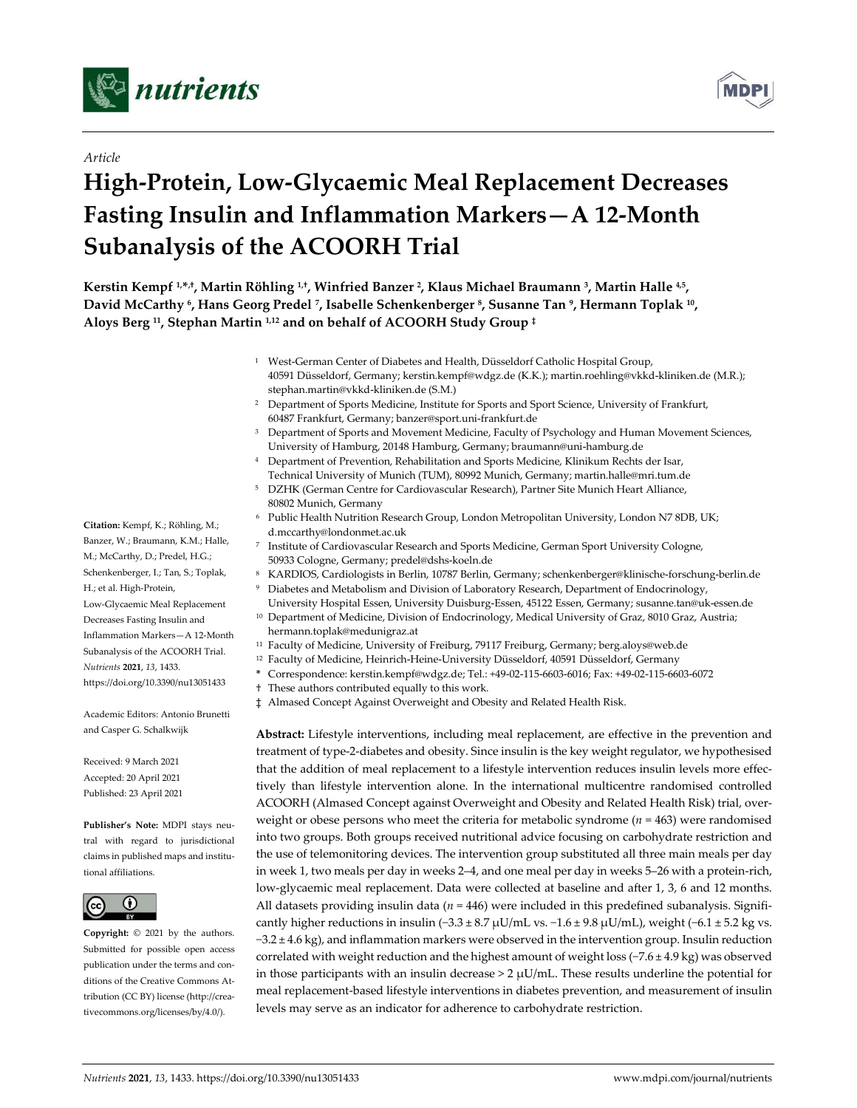



# *Article*

# **High-Protein, Low-Glycaemic Meal Replacement Decreases Fasting Insulin and Inflammation Markers—A 12-Month Subanalysis of the ACOORH Trial**

**Kerstin Kempf 1,\*,†, Martin Röhling 1,†, Winfried Banzer 2, Klaus Michael Braumann 3, Martin Halle 4,5, David McCarthy 6, Hans Georg Predel 7, Isabelle Schenkenberger 8, Susanne Tan 9, Hermann Toplak 10, Aloys Berg 11, Stephan Martin 1,12 and on behalf of ACOORH Study Group ‡**

- <sup>1</sup> West-German Center of Diabetes and Health, Düsseldorf Catholic Hospital Group, 40591 Düsseldorf, Germany; kerstin.kempf@wdgz.de (K.K.); martin.roehling@vkkd-kliniken.de (M.R.); stephan.martin@vkkd-kliniken.de (S.M.)
- <sup>2</sup> Department of Sports Medicine, Institute for Sports and Sport Science, University of Frankfurt, 60487 Frankfurt, Germany; banzer@sport.uni-frankfurt.de
- <sup>3</sup> Department of Sports and Movement Medicine, Faculty of Psychology and Human Movement Sciences, University of Hamburg, 20148 Hamburg, Germany; braumann@uni-hamburg.de
- <sup>4</sup> Department of Prevention, Rehabilitation and Sports Medicine, Klinikum Rechts der Isar, Technical University of Munich (TUM), 80992 Munich, Germany; martin.halle@mri.tum.de
- <sup>5</sup> DZHK (German Centre for Cardiovascular Research), Partner Site Munich Heart Alliance, 80802 Munich, Germany
- <sup>6</sup> Public Health Nutrition Research Group, London Metropolitan University, London N7 8DB, UK; d.mccarthy@londonmet.ac.uk
- <sup>7</sup> Institute of Cardiovascular Research and Sports Medicine, German Sport University Cologne, 50933 Cologne, Germany; predel@dshs-koeln.de
- <sup>8</sup> KARDIOS, Cardiologists in Berlin, 10787 Berlin, Germany; schenkenberger@klinische-forschung-berlin.de
- <sup>9</sup> Diabetes and Metabolism and Division of Laboratory Research, Department of Endocrinology,
- University Hospital Essen, University Duisburg-Essen, 45122 Essen, Germany; susanne.tan@uk-essen.de <sup>10</sup> Department of Medicine, Division of Endocrinology, Medical University of Graz, 8010 Graz, Austria; hermann.toplak@medunigraz.at
- <sup>11</sup> Faculty of Medicine, University of Freiburg, 79117 Freiburg, Germany; berg.aloys@web.de
- <sup>12</sup> Faculty of Medicine, Heinrich-Heine-University Düsseldorf, 40591 Düsseldorf, Germany
- **\*** Correspondence: kerstin.kempf@wdgz.de; Tel.: +49-02-115-6603-6016; Fax: +49-02-115-6603-6072
- † These authors contributed equally to this work.
- ‡ Almased Concept Against Overweight and Obesity and Related Health Risk.

**Abstract:** Lifestyle interventions, including meal replacement, are effective in the prevention and treatment of type-2-diabetes and obesity. Since insulin is the key weight regulator, we hypothesised that the addition of meal replacement to a lifestyle intervention reduces insulin levels more effectively than lifestyle intervention alone. In the international multicentre randomised controlled ACOORH (Almased Concept against Overweight and Obesity and Related Health Risk) trial, overweight or obese persons who meet the criteria for metabolic syndrome ( $n = 463$ ) were randomised into two groups. Both groups received nutritional advice focusing on carbohydrate restriction and the use of telemonitoring devices. The intervention group substituted all three main meals per day in week 1, two meals per day in weeks 2–4, and one meal per day in weeks 5–26 with a protein-rich, low-glycaemic meal replacement. Data were collected at baseline and after 1, 3, 6 and 12 months. All datasets providing insulin data (*n* = 446) were included in this predefined subanalysis. Significantly higher reductions in insulin (−3.3 ± 8.7 µU/mL vs.  $-1.6 \pm 9.8$  µU/mL), weight (−6.1 ± 5.2 kg vs. −3.2 ± 4.6 kg), and inflammation markers were observed in the intervention group. Insulin reduction correlated with weight reduction and the highest amount of weight loss (−7.6 ± 4.9 kg) was observed in those participants with an insulin decrease  $> 2 \mu U/mL$ . These results underline the potential for meal replacement-based lifestyle interventions in diabetes prevention, and measurement of insulin levels may serve as an indicator for adherence to carbohydrate restriction.

**Citation:** Kempf, K.; Röhling, M.; Banzer, W.; Braumann, K.M.; Halle, M.; McCarthy, D.; Predel, H.G.; Schenkenberger, I.; Tan, S.; Toplak, H.; et al. High-Protein, Low-Glycaemic Meal Replacement Decreases Fasting Insulin and Inflammation Markers—A 12-Month Subanalysis of the ACOORH Trial. *Nutrients* **2021**, *13*, 1433. https://doi.org/10.3390/nu13051433

Academic Editors: Antonio Brunetti and Casper G. Schalkwijk

Received: 9 March 2021 Accepted: 20 April 2021 Published: 23 April 2021

**Publisher's Note:** MDPI stays neutral with regard to jurisdictional claims in published maps and institutional affiliations.



**Copyright:** © 2021 by the authors. Submitted for possible open access publication under the terms and conditions of the Creative Commons Attribution (CC BY) license (http://creativecommons.org/licenses/by/4.0/).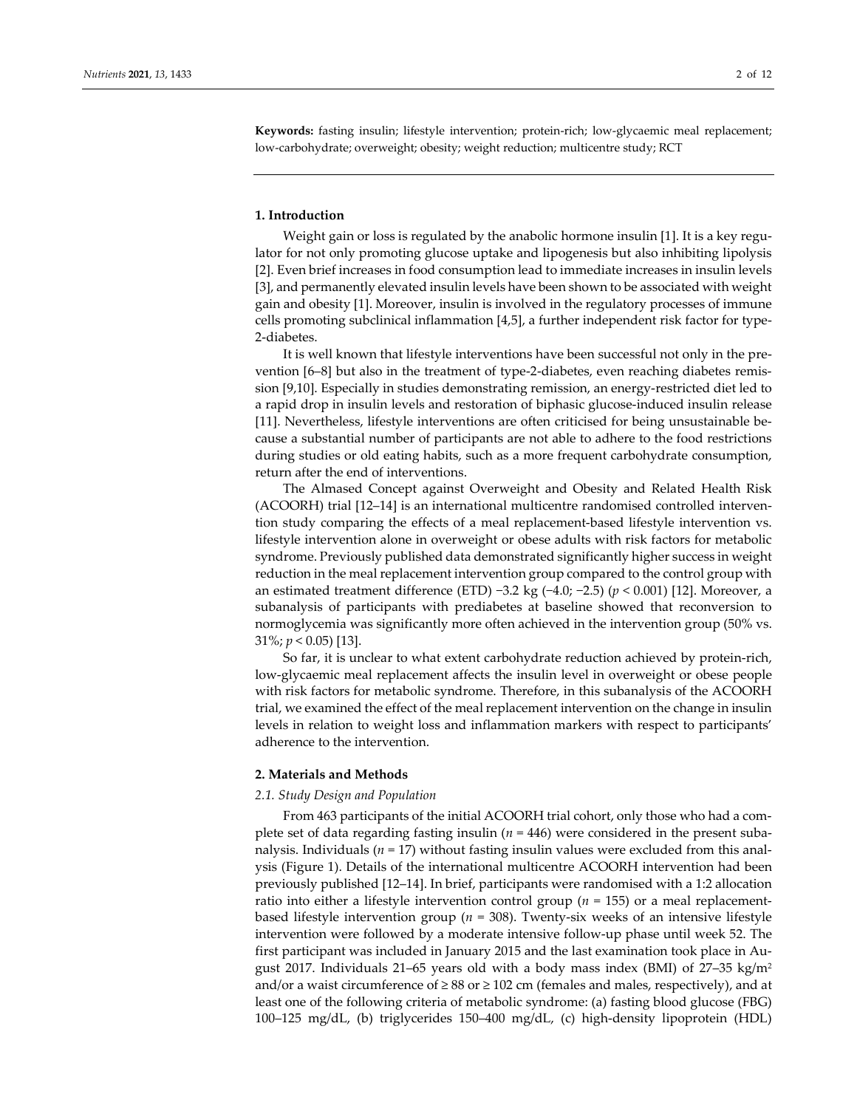**Keywords:** fasting insulin; lifestyle intervention; protein-rich; low-glycaemic meal replacement; low-carbohydrate; overweight; obesity; weight reduction; multicentre study; RCT

#### **1. Introduction**

Weight gain or loss is regulated by the anabolic hormone insulin [1]. It is a key regulator for not only promoting glucose uptake and lipogenesis but also inhibiting lipolysis [2]. Even brief increases in food consumption lead to immediate increases in insulin levels [3], and permanently elevated insulin levels have been shown to be associated with weight gain and obesity [1]. Moreover, insulin is involved in the regulatory processes of immune cells promoting subclinical inflammation [4,5], a further independent risk factor for type-2-diabetes.

It is well known that lifestyle interventions have been successful not only in the prevention [6–8] but also in the treatment of type-2-diabetes, even reaching diabetes remission [9,10]. Especially in studies demonstrating remission, an energy-restricted diet led to a rapid drop in insulin levels and restoration of biphasic glucose-induced insulin release [11]. Nevertheless, lifestyle interventions are often criticised for being unsustainable because a substantial number of participants are not able to adhere to the food restrictions during studies or old eating habits, such as a more frequent carbohydrate consumption, return after the end of interventions.

The Almased Concept against Overweight and Obesity and Related Health Risk (ACOORH) trial [12–14] is an international multicentre randomised controlled intervention study comparing the effects of a meal replacement-based lifestyle intervention vs. lifestyle intervention alone in overweight or obese adults with risk factors for metabolic syndrome. Previously published data demonstrated significantly higher success in weight reduction in the meal replacement intervention group compared to the control group with an estimated treatment difference (ETD) −3.2 kg (−4.0; −2.5) (*p* < 0.001) [12]. Moreover, a subanalysis of participants with prediabetes at baseline showed that reconversion to normoglycemia was significantly more often achieved in the intervention group (50% vs. 31%; *p* < 0.05) [13].

So far, it is unclear to what extent carbohydrate reduction achieved by protein-rich, low-glycaemic meal replacement affects the insulin level in overweight or obese people with risk factors for metabolic syndrome. Therefore, in this subanalysis of the ACOORH trial, we examined the effect of the meal replacement intervention on the change in insulin levels in relation to weight loss and inflammation markers with respect to participants' adherence to the intervention.

#### **2. Materials and Methods**

#### *2.1. Study Design and Population*

From 463 participants of the initial ACOORH trial cohort, only those who had a complete set of data regarding fasting insulin ( $n = 446$ ) were considered in the present subanalysis. Individuals ( $n = 17$ ) without fasting insulin values were excluded from this analysis (Figure 1). Details of the international multicentre ACOORH intervention had been previously published [12–14]. In brief, participants were randomised with a 1:2 allocation ratio into either a lifestyle intervention control group ( $n = 155$ ) or a meal replacementbased lifestyle intervention group (*n* = 308). Twenty-six weeks of an intensive lifestyle intervention were followed by a moderate intensive follow-up phase until week 52. The first participant was included in January 2015 and the last examination took place in August 2017. Individuals 21–65 years old with a body mass index (BMI) of 27–35 kg/m2 and/or a waist circumference of  $\geq 88$  or  $\geq 102$  cm (females and males, respectively), and at least one of the following criteria of metabolic syndrome: (a) fasting blood glucose (FBG) 100–125 mg/dL, (b) triglycerides 150–400 mg/dL, (c) high-density lipoprotein (HDL)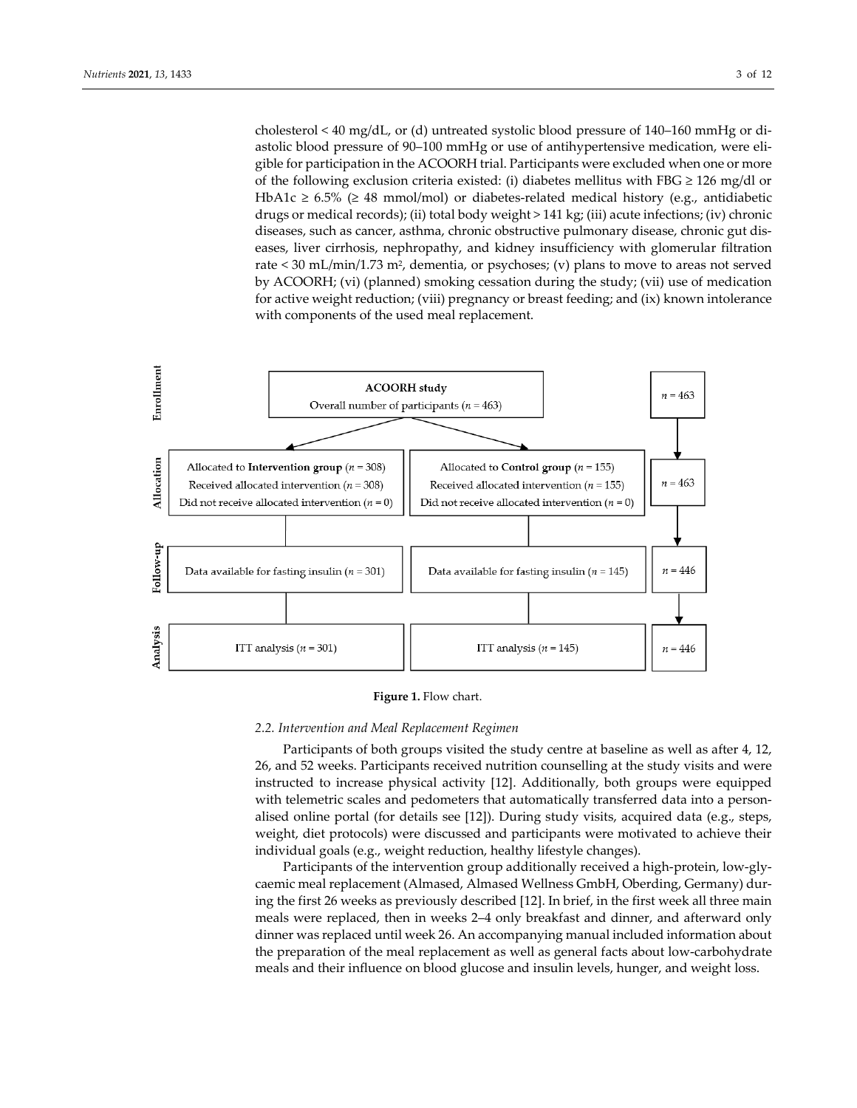cholesterol < 40 mg/dL, or (d) untreated systolic blood pressure of 140–160 mmHg or diastolic blood pressure of 90–100 mmHg or use of antihypertensive medication, were eligible for participation in the ACOORH trial. Participants were excluded when one or more of the following exclusion criteria existed: (i) diabetes mellitus with FBG  $\geq$  126 mg/dl or HbA1c ≥ 6.5% (≥ 48 mmol/mol) or diabetes-related medical history (e.g., antidiabetic drugs or medical records); (ii) total body weight > 141 kg; (iii) acute infections; (iv) chronic diseases, such as cancer, asthma, chronic obstructive pulmonary disease, chronic gut diseases, liver cirrhosis, nephropathy, and kidney insufficiency with glomerular filtration rate < 30 mL/min/1.73 m2, dementia, or psychoses; (v) plans to move to areas not served by ACOORH; (vi) (planned) smoking cessation during the study; (vii) use of medication for active weight reduction; (viii) pregnancy or breast feeding; and (ix) known intolerance with components of the used meal replacement.



#### **Figure 1.** Flow chart.

#### *2.2. Intervention and Meal Replacement Regimen*

Participants of both groups visited the study centre at baseline as well as after 4, 12, 26, and 52 weeks. Participants received nutrition counselling at the study visits and were instructed to increase physical activity [12]. Additionally, both groups were equipped with telemetric scales and pedometers that automatically transferred data into a personalised online portal (for details see [12]). During study visits, acquired data (e.g., steps, weight, diet protocols) were discussed and participants were motivated to achieve their individual goals (e.g., weight reduction, healthy lifestyle changes).

Participants of the intervention group additionally received a high-protein, low-glycaemic meal replacement (Almased, Almased Wellness GmbH, Oberding, Germany) during the first 26 weeks as previously described [12]. In brief, in the first week all three main meals were replaced, then in weeks 2–4 only breakfast and dinner, and afterward only dinner was replaced until week 26. An accompanying manual included information about the preparation of the meal replacement as well as general facts about low-carbohydrate meals and their influence on blood glucose and insulin levels, hunger, and weight loss.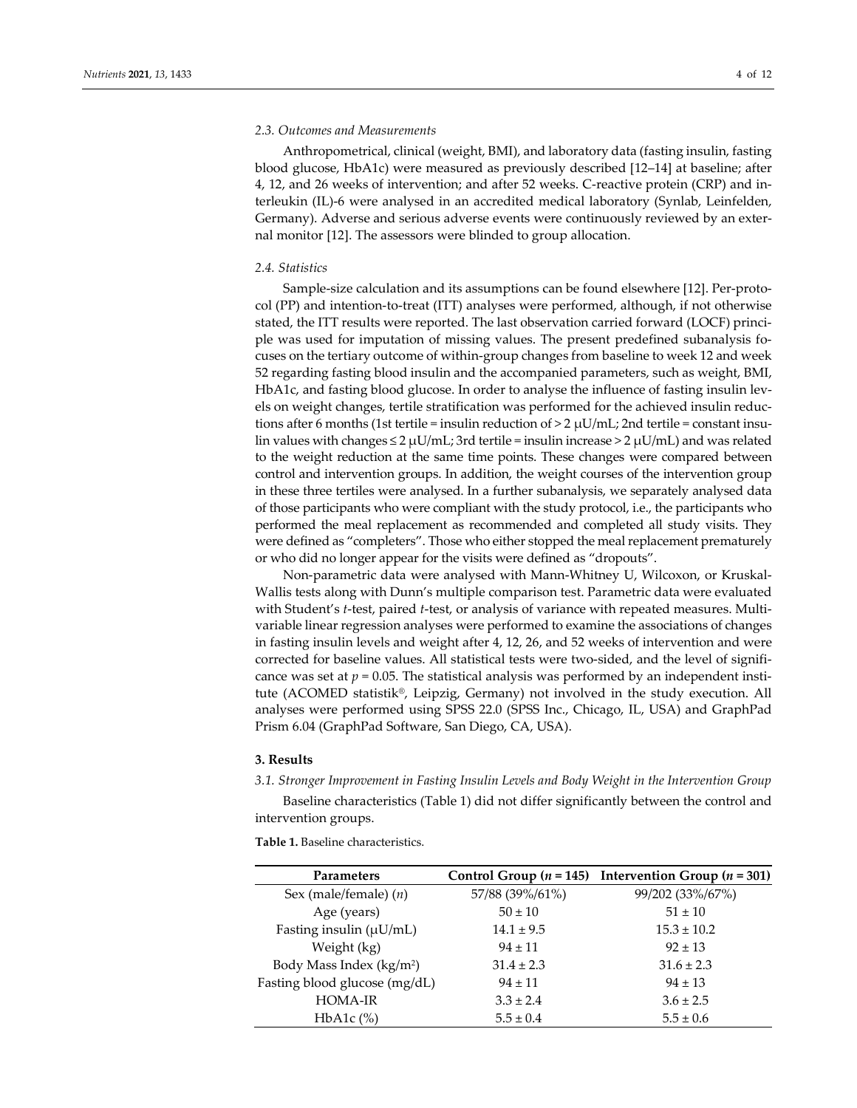# *2.3. Outcomes and Measurements*

Anthropometrical, clinical (weight, BMI), and laboratory data (fasting insulin, fasting blood glucose, HbA1c) were measured as previously described [12–14] at baseline; after 4, 12, and 26 weeks of intervention; and after 52 weeks. C-reactive protein (CRP) and interleukin (IL)-6 were analysed in an accredited medical laboratory (Synlab, Leinfelden, Germany). Adverse and serious adverse events were continuously reviewed by an external monitor [12]. The assessors were blinded to group allocation.

#### *2.4. Statistics*

Sample-size calculation and its assumptions can be found elsewhere [12]. Per-protocol (PP) and intention-to-treat (ITT) analyses were performed, although, if not otherwise stated, the ITT results were reported. The last observation carried forward (LOCF) principle was used for imputation of missing values. The present predefined subanalysis focuses on the tertiary outcome of within-group changes from baseline to week 12 and week 52 regarding fasting blood insulin and the accompanied parameters, such as weight, BMI, HbA1c, and fasting blood glucose. In order to analyse the influence of fasting insulin levels on weight changes, tertile stratification was performed for the achieved insulin reductions after 6 months (1st tertile = insulin reduction of > 2  $\mu$ U/mL; 2nd tertile = constant insulin values with changes  $\leq 2 \mu U/mL$ ; 3rd tertile = insulin increase  $> 2 \mu U/mL$ ) and was related to the weight reduction at the same time points. These changes were compared between control and intervention groups. In addition, the weight courses of the intervention group in these three tertiles were analysed. In a further subanalysis, we separately analysed data of those participants who were compliant with the study protocol, i.e., the participants who performed the meal replacement as recommended and completed all study visits. They were defined as "completers". Those who either stopped the meal replacement prematurely or who did no longer appear for the visits were defined as "dropouts".

Non-parametric data were analysed with Mann-Whitney U, Wilcoxon, or Kruskal-Wallis tests along with Dunn's multiple comparison test. Parametric data were evaluated with Student's *t*-test, paired *t*-test, or analysis of variance with repeated measures. Multivariable linear regression analyses were performed to examine the associations of changes in fasting insulin levels and weight after 4, 12, 26, and 52 weeks of intervention and were corrected for baseline values. All statistical tests were two-sided, and the level of significance was set at  $p = 0.05$ . The statistical analysis was performed by an independent institute (ACOMED statistik®, Leipzig, Germany) not involved in the study execution. All analyses were performed using SPSS 22.0 (SPSS Inc., Chicago, IL, USA) and GraphPad Prism 6.04 (GraphPad Software, San Diego, CA, USA).

## **3. Results**

*3.1. Stronger Improvement in Fasting Insulin Levels and Body Weight in the Intervention Group*

Baseline characteristics (Table 1) did not differ significantly between the control and intervention groups.

**Table 1.** Baseline characteristics.

| <b>Parameters</b>                    |                 | Control Group ( $n = 145$ ) Intervention Group ( $n = 301$ ) |  |
|--------------------------------------|-----------------|--------------------------------------------------------------|--|
| Sex (male/female) $(n)$              | 57/88 (39%/61%) | 99/202 (33%/67%)                                             |  |
| Age (years)                          | $50 \pm 10$     | $51 \pm 10$                                                  |  |
| Fasting insulin $(\mu U/mL)$         | $14.1 \pm 9.5$  | $15.3 \pm 10.2$                                              |  |
| Weight (kg)                          | $94 \pm 11$     | $92 \pm 13$                                                  |  |
| Body Mass Index (kg/m <sup>2</sup> ) | $31.4 \pm 2.3$  | $31.6 \pm 2.3$                                               |  |
| Fasting blood glucose (mg/dL)        | $94 \pm 11$     | $94 \pm 13$                                                  |  |
| <b>HOMA-IR</b>                       | $3.3 \pm 2.4$   | $3.6 \pm 2.5$                                                |  |
| HbA1c $(\%)$                         | $5.5 \pm 0.4$   | $5.5 \pm 0.6$                                                |  |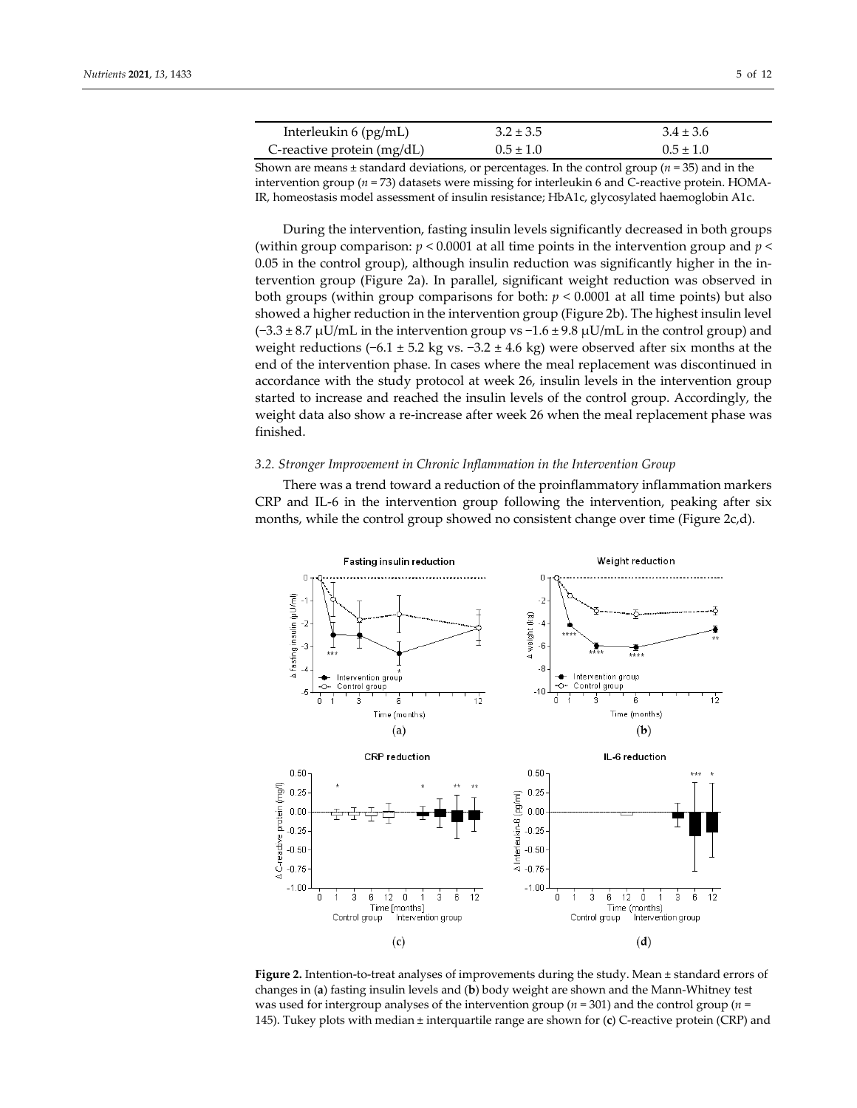| Interleukin $6$ (pg/mL)    | $3.2 \pm 3.5$ | $3.4 \pm 3.6$ |  |
|----------------------------|---------------|---------------|--|
| C-reactive protein (mg/dL) | $0.5 \pm 1.0$ | $0.5 \pm 1.0$ |  |

Shown are means  $\pm$  standard deviations, or percentages. In the control group ( $n = 35$ ) and in the intervention group (*n* = 73) datasets were missing for interleukin 6 and C-reactive protein. HOMA-IR, homeostasis model assessment of insulin resistance; HbA1c, glycosylated haemoglobin A1c.

During the intervention, fasting insulin levels significantly decreased in both groups (within group comparison: *p* < 0.0001 at all time points in the intervention group and *p* < 0.05 in the control group), although insulin reduction was significantly higher in the intervention group (Figure 2a). In parallel, significant weight reduction was observed in both groups (within group comparisons for both:  $p < 0.0001$  at all time points) but also showed a higher reduction in the intervention group (Figure 2b). The highest insulin level (−3.3 ± 8.7 µU/mL in the intervention group vs −1.6 ± 9.8 µU/mL in the control group) and weight reductions  $(-6.1 \pm 5.2 \text{ kg vs. } -3.2 \pm 4.6 \text{ kg})$  were observed after six months at the end of the intervention phase. In cases where the meal replacement was discontinued in accordance with the study protocol at week 26, insulin levels in the intervention group started to increase and reached the insulin levels of the control group. Accordingly, the weight data also show a re-increase after week 26 when the meal replacement phase was finished.

### *3.2. Stronger Improvement in Chronic Inflammation in the Intervention Group*

There was a trend toward a reduction of the proinflammatory inflammation markers CRP and IL-6 in the intervention group following the intervention, peaking after six months, while the control group showed no consistent change over time (Figure 2c,d).



**Figure 2.** Intention-to-treat analyses of improvements during the study. Mean ± standard errors of changes in (**a**) fasting insulin levels and (**b**) body weight are shown and the Mann-Whitney test was used for intergroup analyses of the intervention group (*n* = 301) and the control group (*n* = 145). Tukey plots with median ± interquartile range are shown for (**c**) C-reactive protein (CRP) and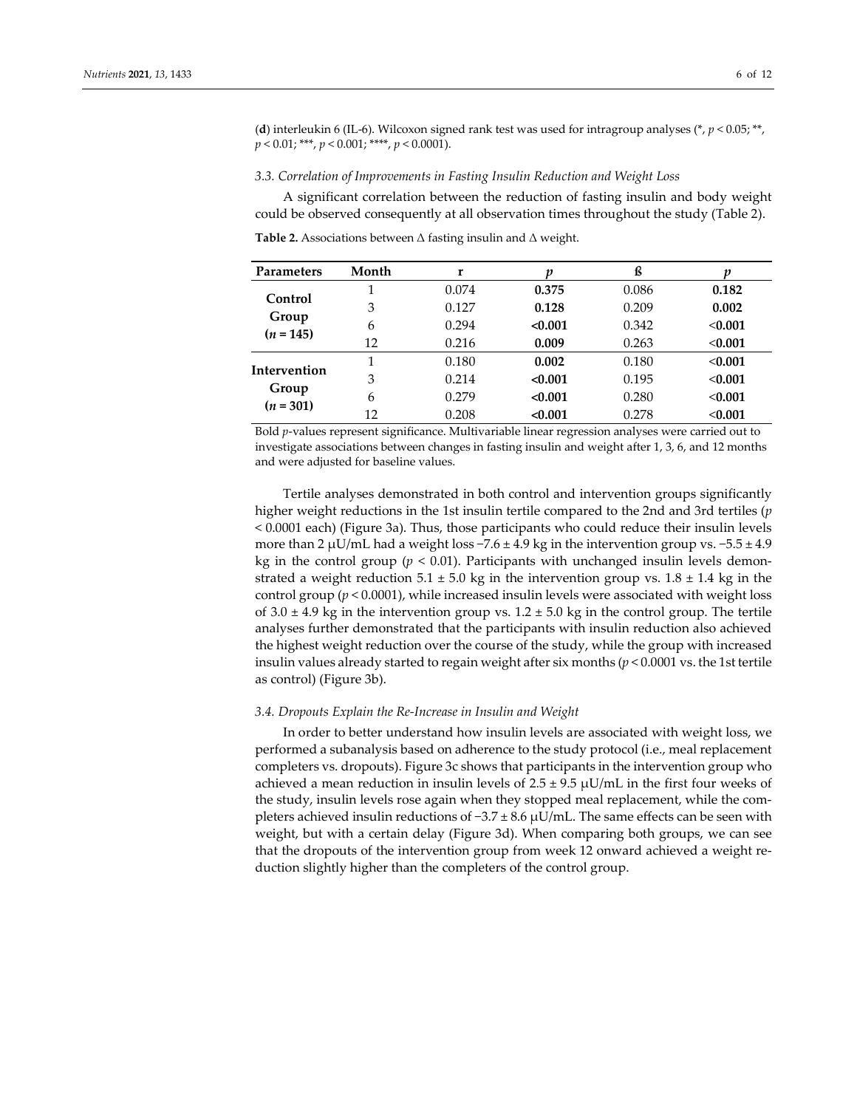(**d**) interleukin 6 (IL-6). Wilcoxon signed rank test was used for intragroup analyses (\*, *p* < 0.05; \*\*, *p* < 0.01; \*\*\*, *p* < 0.001; \*\*\*\*, *p* < 0.0001).

#### *3.3. Correlation of Improvements in Fasting Insulin Reduction and Weight Loss*

A significant correlation between the reduction of fasting insulin and body weight could be observed consequently at all observation times throughout the study (Table 2).

| <b>Parameters</b>                    | Month | r     | v       | ß     | p       |
|--------------------------------------|-------|-------|---------|-------|---------|
| Control<br>Group<br>$(n = 145)$      |       | 0.074 | 0.375   | 0.086 | 0.182   |
|                                      | 3     | 0.127 | 0.128   | 0.209 | 0.002   |
|                                      | 6     | 0.294 | < 0.001 | 0.342 | < 0.001 |
|                                      | 12    | 0.216 | 0.009   | 0.263 | < 0.001 |
| Intervention<br>Group<br>$(n = 301)$ |       | 0.180 | 0.002   | 0.180 | < 0.001 |
|                                      | 3     | 0.214 | < 0.001 | 0.195 | < 0.001 |
|                                      | 6     | 0.279 | < 0.001 | 0.280 | < 0.001 |
|                                      | 12    | 0.208 | < 0.001 | 0.278 | < 0.001 |

**Table 2.** Associations between Δ fasting insulin and Δ weight.

Bold *p*-values represent significance. Multivariable linear regression analyses were carried out to investigate associations between changes in fasting insulin and weight after 1, 3, 6, and 12 months and were adjusted for baseline values.

Tertile analyses demonstrated in both control and intervention groups significantly higher weight reductions in the 1st insulin tertile compared to the 2nd and 3rd tertiles (*p*  < 0.0001 each) (Figure 3a). Thus, those participants who could reduce their insulin levels more than 2 µU/mL had a weight loss  $-7.6 \pm 4.9$  kg in the intervention group vs.  $-5.5 \pm 4.9$ kg in the control group (*p* < 0.01). Participants with unchanged insulin levels demonstrated a weight reduction 5.1  $\pm$  5.0 kg in the intervention group vs. 1.8  $\pm$  1.4 kg in the control group (*p* < 0.0001), while increased insulin levels were associated with weight loss of  $3.0 \pm 4.9$  kg in the intervention group vs.  $1.2 \pm 5.0$  kg in the control group. The tertile analyses further demonstrated that the participants with insulin reduction also achieved the highest weight reduction over the course of the study, while the group with increased insulin values already started to regain weight after six months (*p* < 0.0001 vs. the 1st tertile as control) (Figure 3b).

### *3.4. Dropouts Explain the Re-Increase in Insulin and Weight*

In order to better understand how insulin levels are associated with weight loss, we performed a subanalysis based on adherence to the study protocol (i.e., meal replacement completers vs. dropouts). Figure 3c shows that participants in the intervention group who achieved a mean reduction in insulin levels of  $2.5 \pm 9.5 \mu U/mL$  in the first four weeks of the study, insulin levels rose again when they stopped meal replacement, while the completers achieved insulin reductions of −3.7 ± 8.6 µU/mL. The same effects can be seen with weight, but with a certain delay (Figure 3d). When comparing both groups, we can see that the dropouts of the intervention group from week 12 onward achieved a weight reduction slightly higher than the completers of the control group.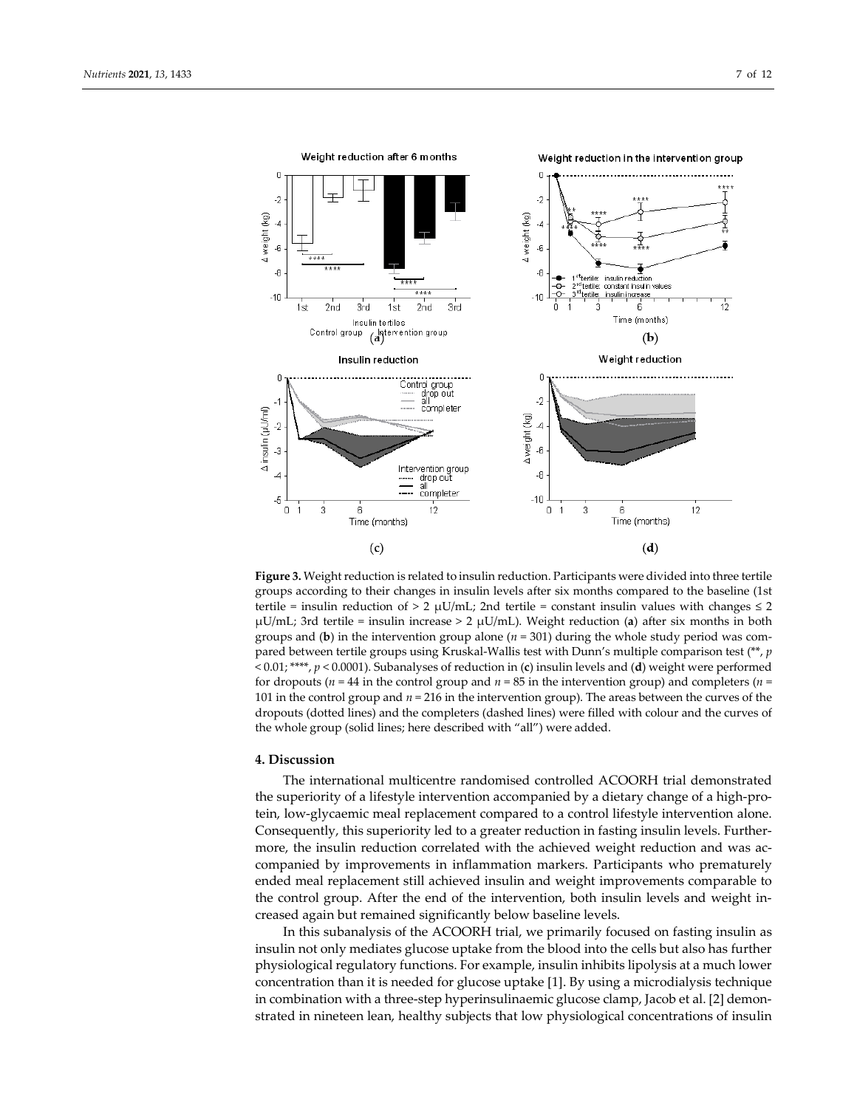

**Figure 3.** Weight reduction is related to insulin reduction. Participants were divided into three tertile groups according to their changes in insulin levels after six months compared to the baseline (1st tertile = insulin reduction of > 2  $\mu$ U/mL; 2nd tertile = constant insulin values with changes  $\leq$  2 µU/mL; 3rd tertile = insulin increase > 2 µU/mL). Weight reduction (**a**) after six months in both groups and (**b**) in the intervention group alone (*n* = 301) during the whole study period was compared between tertile groups using Kruskal-Wallis test with Dunn's multiple comparison test (\*\*, *p*  < 0.01; \*\*\*\*, *p* < 0.0001). Subanalyses of reduction in (**c**) insulin levels and (**d**) weight were performed for dropouts ( $n = 44$  in the control group and  $n = 85$  in the intervention group) and completers ( $n =$ 101 in the control group and *n* = 216 in the intervention group). The areas between the curves of the dropouts (dotted lines) and the completers (dashed lines) were filled with colour and the curves of the whole group (solid lines; here described with "all") were added.

# **4. Discussion**

The international multicentre randomised controlled ACOORH trial demonstrated the superiority of a lifestyle intervention accompanied by a dietary change of a high-protein, low-glycaemic meal replacement compared to a control lifestyle intervention alone. Consequently, this superiority led to a greater reduction in fasting insulin levels. Furthermore, the insulin reduction correlated with the achieved weight reduction and was accompanied by improvements in inflammation markers. Participants who prematurely ended meal replacement still achieved insulin and weight improvements comparable to the control group. After the end of the intervention, both insulin levels and weight increased again but remained significantly below baseline levels.

In this subanalysis of the ACOORH trial, we primarily focused on fasting insulin as insulin not only mediates glucose uptake from the blood into the cells but also has further physiological regulatory functions. For example, insulin inhibits lipolysis at a much lower concentration than it is needed for glucose uptake [1]. By using a microdialysis technique in combination with a three-step hyperinsulinaemic glucose clamp, Jacob et al. [2] demonstrated in nineteen lean, healthy subjects that low physiological concentrations of insulin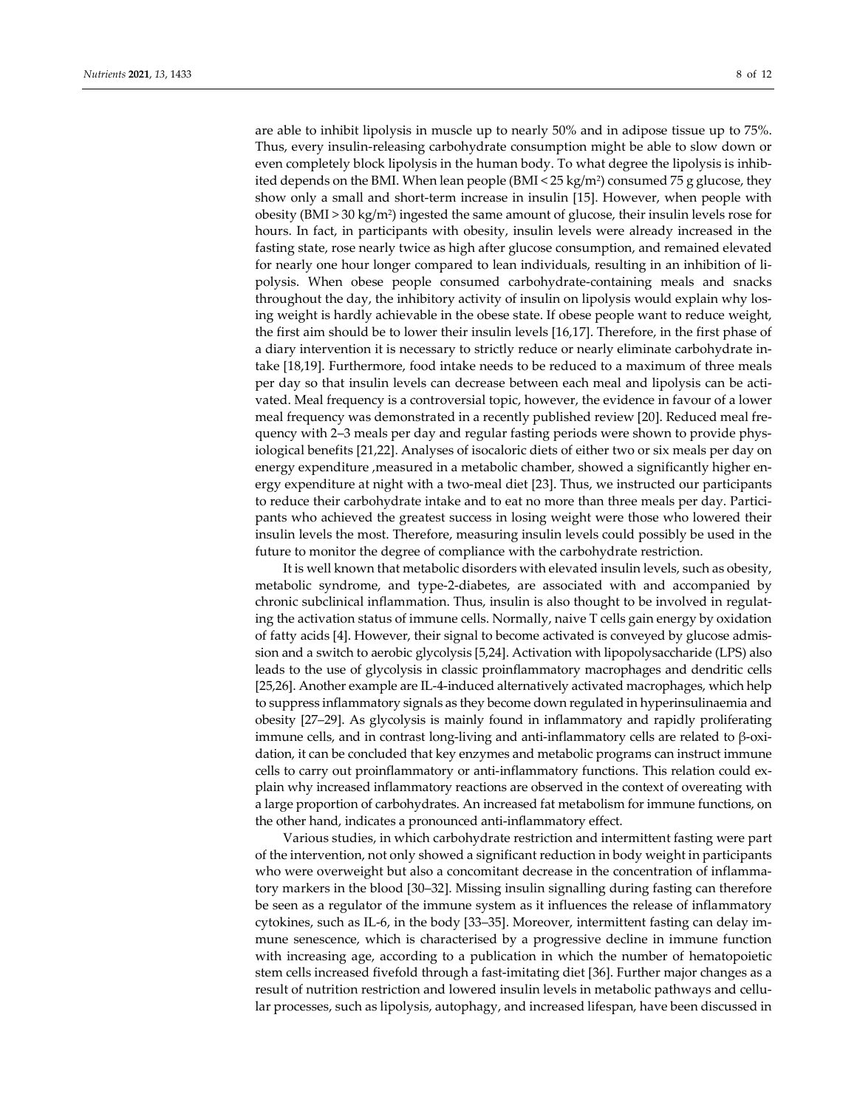are able to inhibit lipolysis in muscle up to nearly 50% and in adipose tissue up to 75%. Thus, every insulin-releasing carbohydrate consumption might be able to slow down or even completely block lipolysis in the human body. To what degree the lipolysis is inhibited depends on the BMI. When lean people  $(BMI < 25 \text{ kg/m}^2)$  consumed 75 g glucose, they show only a small and short-term increase in insulin [15]. However, when people with obesity (BMI > 30 kg/m2) ingested the same amount of glucose, their insulin levels rose for hours. In fact, in participants with obesity, insulin levels were already increased in the fasting state, rose nearly twice as high after glucose consumption, and remained elevated for nearly one hour longer compared to lean individuals, resulting in an inhibition of lipolysis. When obese people consumed carbohydrate-containing meals and snacks throughout the day, the inhibitory activity of insulin on lipolysis would explain why losing weight is hardly achievable in the obese state. If obese people want to reduce weight, the first aim should be to lower their insulin levels [16,17]. Therefore, in the first phase of a diary intervention it is necessary to strictly reduce or nearly eliminate carbohydrate intake [18,19]. Furthermore, food intake needs to be reduced to a maximum of three meals per day so that insulin levels can decrease between each meal and lipolysis can be activated. Meal frequency is a controversial topic, however, the evidence in favour of a lower meal frequency was demonstrated in a recently published review [20]. Reduced meal frequency with 2–3 meals per day and regular fasting periods were shown to provide physiological benefits [21,22]. Analyses of isocaloric diets of either two or six meals per day on energy expenditure , measured in a metabolic chamber, showed a significantly higher energy expenditure at night with a two-meal diet [23]. Thus, we instructed our participants to reduce their carbohydrate intake and to eat no more than three meals per day. Participants who achieved the greatest success in losing weight were those who lowered their insulin levels the most. Therefore, measuring insulin levels could possibly be used in the future to monitor the degree of compliance with the carbohydrate restriction.

It is well known that metabolic disorders with elevated insulin levels, such as obesity, metabolic syndrome, and type-2-diabetes, are associated with and accompanied by chronic subclinical inflammation. Thus, insulin is also thought to be involved in regulating the activation status of immune cells. Normally, naive T cells gain energy by oxidation of fatty acids [4]. However, their signal to become activated is conveyed by glucose admission and a switch to aerobic glycolysis [5,24]. Activation with lipopolysaccharide (LPS) also leads to the use of glycolysis in classic proinflammatory macrophages and dendritic cells [25,26]. Another example are IL-4-induced alternatively activated macrophages, which help to suppress inflammatory signals as they become down regulated in hyperinsulinaemia and obesity [27–29]. As glycolysis is mainly found in inflammatory and rapidly proliferating immune cells, and in contrast long-living and anti-inflammatory cells are related to β-oxidation, it can be concluded that key enzymes and metabolic programs can instruct immune cells to carry out proinflammatory or anti-inflammatory functions. This relation could explain why increased inflammatory reactions are observed in the context of overeating with a large proportion of carbohydrates. An increased fat metabolism for immune functions, on the other hand, indicates a pronounced anti-inflammatory effect.

Various studies, in which carbohydrate restriction and intermittent fasting were part of the intervention, not only showed a significant reduction in body weight in participants who were overweight but also a concomitant decrease in the concentration of inflammatory markers in the blood [30–32]. Missing insulin signalling during fasting can therefore be seen as a regulator of the immune system as it influences the release of inflammatory cytokines, such as IL-6, in the body [33–35]. Moreover, intermittent fasting can delay immune senescence, which is characterised by a progressive decline in immune function with increasing age, according to a publication in which the number of hematopoietic stem cells increased fivefold through a fast-imitating diet [36]. Further major changes as a result of nutrition restriction and lowered insulin levels in metabolic pathways and cellular processes, such as lipolysis, autophagy, and increased lifespan, have been discussed in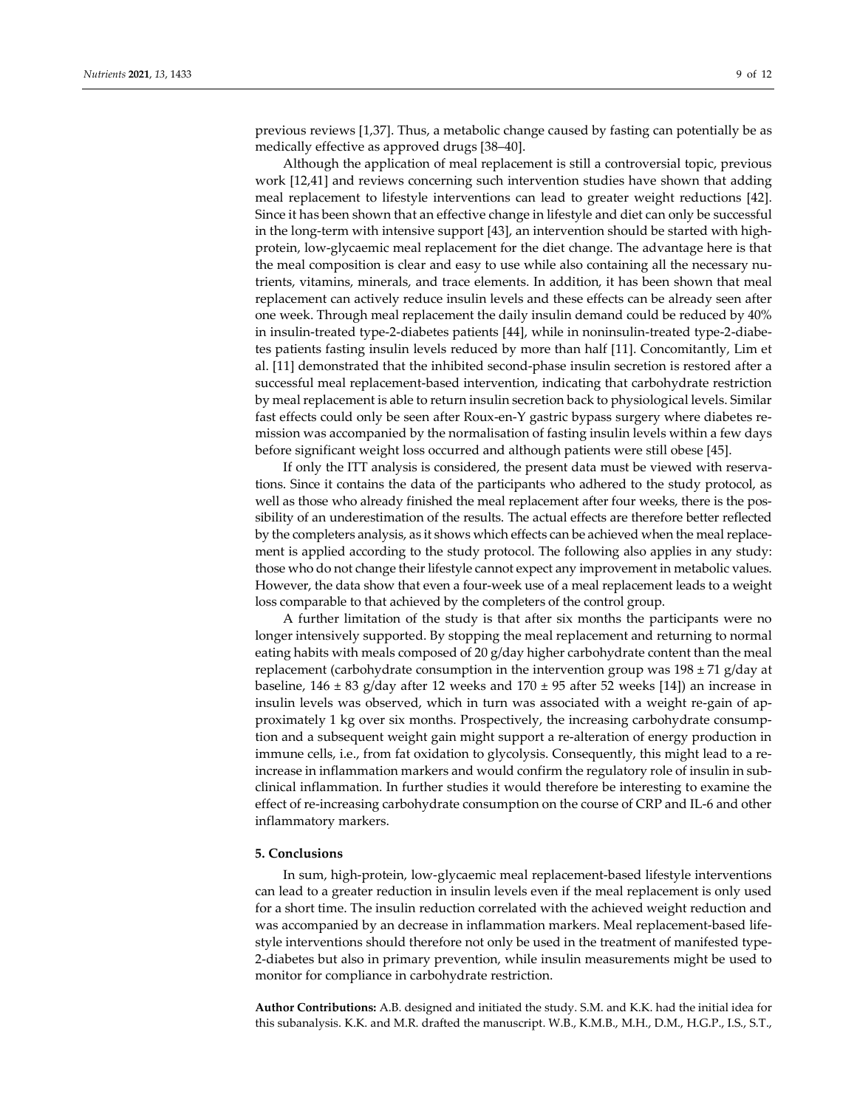previous reviews [1,37]. Thus, a metabolic change caused by fasting can potentially be as medically effective as approved drugs [38–40].

Although the application of meal replacement is still a controversial topic, previous work [12,41] and reviews concerning such intervention studies have shown that adding meal replacement to lifestyle interventions can lead to greater weight reductions [42]. Since it has been shown that an effective change in lifestyle and diet can only be successful in the long-term with intensive support [43], an intervention should be started with highprotein, low-glycaemic meal replacement for the diet change. The advantage here is that the meal composition is clear and easy to use while also containing all the necessary nutrients, vitamins, minerals, and trace elements. In addition, it has been shown that meal replacement can actively reduce insulin levels and these effects can be already seen after one week. Through meal replacement the daily insulin demand could be reduced by 40% in insulin-treated type-2-diabetes patients [44], while in noninsulin-treated type-2-diabetes patients fasting insulin levels reduced by more than half [11]. Concomitantly, Lim et al. [11] demonstrated that the inhibited second-phase insulin secretion is restored after a successful meal replacement-based intervention, indicating that carbohydrate restriction by meal replacement is able to return insulin secretion back to physiological levels. Similar fast effects could only be seen after Roux-en-Y gastric bypass surgery where diabetes remission was accompanied by the normalisation of fasting insulin levels within a few days before significant weight loss occurred and although patients were still obese [45].

If only the ITT analysis is considered, the present data must be viewed with reservations. Since it contains the data of the participants who adhered to the study protocol, as well as those who already finished the meal replacement after four weeks, there is the possibility of an underestimation of the results. The actual effects are therefore better reflected by the completers analysis, as it shows which effects can be achieved when the meal replacement is applied according to the study protocol. The following also applies in any study: those who do not change their lifestyle cannot expect any improvement in metabolic values. However, the data show that even a four-week use of a meal replacement leads to a weight loss comparable to that achieved by the completers of the control group.

A further limitation of the study is that after six months the participants were no longer intensively supported. By stopping the meal replacement and returning to normal eating habits with meals composed of 20 g/day higher carbohydrate content than the meal replacement (carbohydrate consumption in the intervention group was  $198 \pm 71$  g/day at baseline,  $146 \pm 83$  g/day after 12 weeks and  $170 \pm 95$  after 52 weeks [14]) an increase in insulin levels was observed, which in turn was associated with a weight re-gain of approximately 1 kg over six months. Prospectively, the increasing carbohydrate consumption and a subsequent weight gain might support a re-alteration of energy production in immune cells, i.e., from fat oxidation to glycolysis. Consequently, this might lead to a reincrease in inflammation markers and would confirm the regulatory role of insulin in subclinical inflammation. In further studies it would therefore be interesting to examine the effect of re-increasing carbohydrate consumption on the course of CRP and IL-6 and other inflammatory markers.

# **5. Conclusions**

In sum, high-protein, low-glycaemic meal replacement-based lifestyle interventions can lead to a greater reduction in insulin levels even if the meal replacement is only used for a short time. The insulin reduction correlated with the achieved weight reduction and was accompanied by an decrease in inflammation markers. Meal replacement-based lifestyle interventions should therefore not only be used in the treatment of manifested type-2-diabetes but also in primary prevention, while insulin measurements might be used to monitor for compliance in carbohydrate restriction.

**Author Contributions:** A.B. designed and initiated the study. S.M. and K.K. had the initial idea for this subanalysis. K.K. and M.R. drafted the manuscript. W.B., K.M.B., M.H., D.M., H.G.P., I.S., S.T.,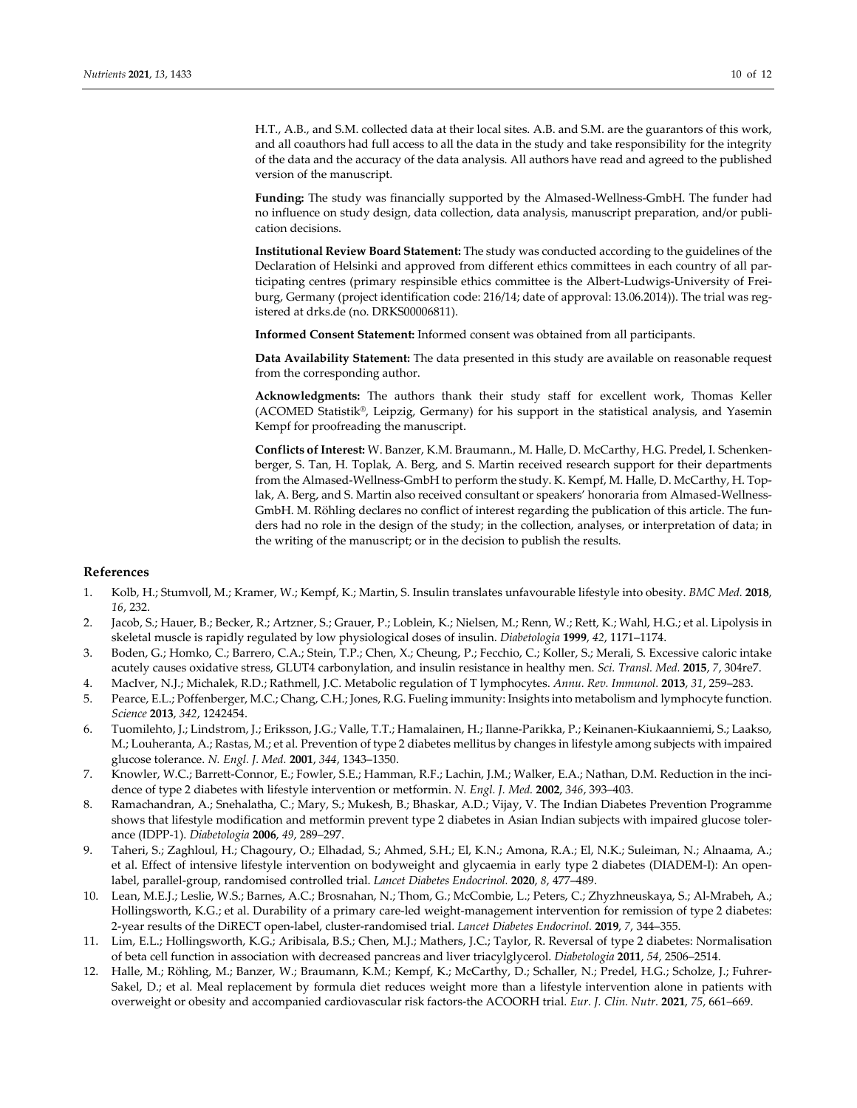H.T., A.B., and S.M. collected data at their local sites. A.B. and S.M. are the guarantors of this work, and all coauthors had full access to all the data in the study and take responsibility for the integrity of the data and the accuracy of the data analysis. All authors have read and agreed to the published version of the manuscript.

**Funding:** The study was financially supported by the Almased-Wellness-GmbH. The funder had no influence on study design, data collection, data analysis, manuscript preparation, and/or publication decisions.

**Institutional Review Board Statement:** The study was conducted according to the guidelines of the Declaration of Helsinki and approved from different ethics committees in each country of all participating centres (primary respinsible ethics committee is the Albert-Ludwigs-University of Freiburg, Germany (project identification code: 216/14; date of approval: 13.06.2014)). The trial was registered at drks.de (no. DRKS00006811).

**Informed Consent Statement:** Informed consent was obtained from all participants.

**Data Availability Statement:** The data presented in this study are available on reasonable request from the corresponding author.

**Acknowledgments:** The authors thank their study staff for excellent work, Thomas Keller (ACOMED Statistik®, Leipzig, Germany) for his support in the statistical analysis, and Yasemin Kempf for proofreading the manuscript.

**Conflicts of Interest:** W. Banzer, K.M. Braumann., M. Halle, D. McCarthy, H.G. Predel, I. Schenkenberger, S. Tan, H. Toplak, A. Berg, and S. Martin received research support for their departments from the Almased-Wellness-GmbH to perform the study. K. Kempf, M. Halle, D. McCarthy, H. Toplak, A. Berg, and S. Martin also received consultant or speakers' honoraria from Almased-Wellness-GmbH. M. Röhling declares no conflict of interest regarding the publication of this article. The funders had no role in the design of the study; in the collection, analyses, or interpretation of data; in the writing of the manuscript; or in the decision to publish the results.

# **References**

- 1. Kolb, H.; Stumvoll, M.; Kramer, W.; Kempf, K.; Martin, S. Insulin translates unfavourable lifestyle into obesity. *BMC Med.* **2018**, *16*, 232.
- 2. Jacob, S.; Hauer, B.; Becker, R.; Artzner, S.; Grauer, P.; Loblein, K.; Nielsen, M.; Renn, W.; Rett, K.; Wahl, H.G.; et al. Lipolysis in skeletal muscle is rapidly regulated by low physiological doses of insulin. *Diabetologia* **1999**, *42*, 1171–1174.
- 3. Boden, G.; Homko, C.; Barrero, C.A.; Stein, T.P.; Chen, X.; Cheung, P.; Fecchio, C.; Koller, S.; Merali, S. Excessive caloric intake acutely causes oxidative stress, GLUT4 carbonylation, and insulin resistance in healthy men. *Sci. Transl. Med.* **2015**, *7*, 304re7.
- 4. MacIver, N.J.; Michalek, R.D.; Rathmell, J.C. Metabolic regulation of T lymphocytes. *Annu. Rev. Immunol.* **2013**, *31*, 259–283.
- 5. Pearce, E.L.; Poffenberger, M.C.; Chang, C.H.; Jones, R.G. Fueling immunity: Insights into metabolism and lymphocyte function. *Science* **2013**, *342*, 1242454.
- 6. Tuomilehto, J.; Lindstrom, J.; Eriksson, J.G.; Valle, T.T.; Hamalainen, H.; Ilanne-Parikka, P.; Keinanen-Kiukaanniemi, S.; Laakso, M.; Louheranta, A.; Rastas, M.; et al. Prevention of type 2 diabetes mellitus by changes in lifestyle among subjects with impaired glucose tolerance. *N. Engl. J. Med.* **2001**, *344*, 1343–1350.
- 7. Knowler, W.C.; Barrett-Connor, E.; Fowler, S.E.; Hamman, R.F.; Lachin, J.M.; Walker, E.A.; Nathan, D.M. Reduction in the incidence of type 2 diabetes with lifestyle intervention or metformin. *N. Engl. J. Med.* **2002**, *346*, 393–403.
- 8. Ramachandran, A.; Snehalatha, C.; Mary, S.; Mukesh, B.; Bhaskar, A.D.; Vijay, V. The Indian Diabetes Prevention Programme shows that lifestyle modification and metformin prevent type 2 diabetes in Asian Indian subjects with impaired glucose tolerance (IDPP-1). *Diabetologia* **2006**, *49*, 289–297.
- 9. Taheri, S.; Zaghloul, H.; Chagoury, O.; Elhadad, S.; Ahmed, S.H.; El, K.N.; Amona, R.A.; El, N.K.; Suleiman, N.; Alnaama, A.; et al. Effect of intensive lifestyle intervention on bodyweight and glycaemia in early type 2 diabetes (DIADEM-I): An openlabel, parallel-group, randomised controlled trial. *Lancet Diabetes Endocrinol.* **2020**, *8*, 477–489.
- 10. Lean, M.E.J.; Leslie, W.S.; Barnes, A.C.; Brosnahan, N.; Thom, G.; McCombie, L.; Peters, C.; Zhyzhneuskaya, S.; Al-Mrabeh, A.; Hollingsworth, K.G.; et al. Durability of a primary care-led weight-management intervention for remission of type 2 diabetes: 2-year results of the DiRECT open-label, cluster-randomised trial. *Lancet Diabetes Endocrinol.* **2019**, *7*, 344–355.
- 11. Lim, E.L.; Hollingsworth, K.G.; Aribisala, B.S.; Chen, M.J.; Mathers, J.C.; Taylor, R. Reversal of type 2 diabetes: Normalisation of beta cell function in association with decreased pancreas and liver triacylglycerol. *Diabetologia* **2011**, *54*, 2506–2514.
- 12. Halle, M.; Röhling, M.; Banzer, W.; Braumann, K.M.; Kempf, K.; McCarthy, D.; Schaller, N.; Predel, H.G.; Scholze, J.; Fuhrer-Sakel, D.; et al. Meal replacement by formula diet reduces weight more than a lifestyle intervention alone in patients with overweight or obesity and accompanied cardiovascular risk factors-the ACOORH trial. *Eur. J. Clin. Nutr.* **2021**, *75*, 661–669.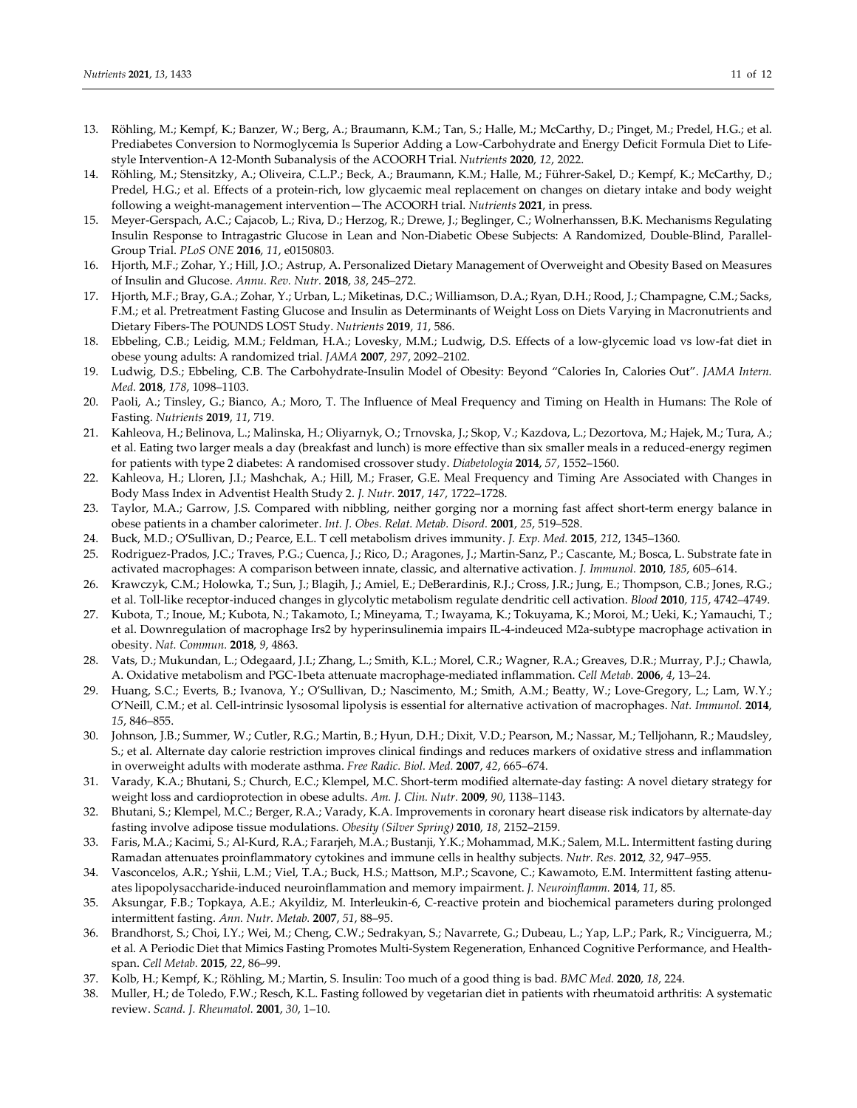- 13. Röhling, M.; Kempf, K.; Banzer, W.; Berg, A.; Braumann, K.M.; Tan, S.; Halle, M.; McCarthy, D.; Pinget, M.; Predel, H.G.; et al. Prediabetes Conversion to Normoglycemia Is Superior Adding a Low-Carbohydrate and Energy Deficit Formula Diet to Lifestyle Intervention-A 12-Month Subanalysis of the ACOORH Trial. *Nutrients* **2020**, *12*, 2022.
- 14. Röhling, M.; Stensitzky, A.; Oliveira, C.L.P.; Beck, A.; Braumann, K.M.; Halle, M.; Führer-Sakel, D.; Kempf, K.; McCarthy, D.; Predel, H.G.; et al. Effects of a protein-rich, low glycaemic meal replacement on changes on dietary intake and body weight following a weight-management intervention—The ACOORH trial. *Nutrients* **2021**, in press.
- 15. Meyer-Gerspach, A.C.; Cajacob, L.; Riva, D.; Herzog, R.; Drewe, J.; Beglinger, C.; Wolnerhanssen, B.K. Mechanisms Regulating Insulin Response to Intragastric Glucose in Lean and Non-Diabetic Obese Subjects: A Randomized, Double-Blind, Parallel-Group Trial. *PLoS ONE* **2016**, *11*, e0150803.
- 16. Hjorth, M.F.; Zohar, Y.; Hill, J.O.; Astrup, A. Personalized Dietary Management of Overweight and Obesity Based on Measures of Insulin and Glucose. *Annu. Rev. Nutr.* **2018**, *38*, 245–272.
- 17. Hjorth, M.F.; Bray, G.A.; Zohar, Y.; Urban, L.; Miketinas, D.C.; Williamson, D.A.; Ryan, D.H.; Rood, J.; Champagne, C.M.; Sacks, F.M.; et al. Pretreatment Fasting Glucose and Insulin as Determinants of Weight Loss on Diets Varying in Macronutrients and Dietary Fibers-The POUNDS LOST Study. *Nutrients* **2019**, *11*, 586.
- 18. Ebbeling, C.B.; Leidig, M.M.; Feldman, H.A.; Lovesky, M.M.; Ludwig, D.S. Effects of a low-glycemic load vs low-fat diet in obese young adults: A randomized trial. *JAMA* **2007**, *297*, 2092–2102.
- 19. Ludwig, D.S.; Ebbeling, C.B. The Carbohydrate-Insulin Model of Obesity: Beyond "Calories In, Calories Out". *JAMA Intern. Med.* **2018**, *178*, 1098–1103.
- 20. Paoli, A.; Tinsley, G.; Bianco, A.; Moro, T. The Influence of Meal Frequency and Timing on Health in Humans: The Role of Fasting. *Nutrients* **2019**, *11*, 719.
- 21. Kahleova, H.; Belinova, L.; Malinska, H.; Oliyarnyk, O.; Trnovska, J.; Skop, V.; Kazdova, L.; Dezortova, M.; Hajek, M.; Tura, A.; et al. Eating two larger meals a day (breakfast and lunch) is more effective than six smaller meals in a reduced-energy regimen for patients with type 2 diabetes: A randomised crossover study. *Diabetologia* **2014**, *57*, 1552–1560.
- 22. Kahleova, H.; Lloren, J.I.; Mashchak, A.; Hill, M.; Fraser, G.E. Meal Frequency and Timing Are Associated with Changes in Body Mass Index in Adventist Health Study 2. *J. Nutr.* **2017**, *147*, 1722–1728.
- 23. Taylor, M.A.; Garrow, J.S. Compared with nibbling, neither gorging nor a morning fast affect short-term energy balance in obese patients in a chamber calorimeter. *Int. J. Obes. Relat. Metab. Disord.* **2001**, *25*, 519–528.
- 24. Buck, M.D.; O'Sullivan, D.; Pearce, E.L. T cell metabolism drives immunity. *J. Exp. Med.* **2015**, *212*, 1345–1360.
- 25. Rodriguez-Prados, J.C.; Traves, P.G.; Cuenca, J.; Rico, D.; Aragones, J.; Martin-Sanz, P.; Cascante, M.; Bosca, L. Substrate fate in activated macrophages: A comparison between innate, classic, and alternative activation. *J. Immunol.* **2010**, *185*, 605–614.
- 26. Krawczyk, C.M.; Holowka, T.; Sun, J.; Blagih, J.; Amiel, E.; DeBerardinis, R.J.; Cross, J.R.; Jung, E.; Thompson, C.B.; Jones, R.G.; et al. Toll-like receptor-induced changes in glycolytic metabolism regulate dendritic cell activation. *Blood* **2010**, *115*, 4742–4749.
- 27. Kubota, T.; Inoue, M.; Kubota, N.; Takamoto, I.; Mineyama, T.; Iwayama, K.; Tokuyama, K.; Moroi, M.; Ueki, K.; Yamauchi, T.; et al. Downregulation of macrophage Irs2 by hyperinsulinemia impairs IL-4-indeuced M2a-subtype macrophage activation in obesity. *Nat. Commun.* **2018**, *9*, 4863.
- 28. Vats, D.; Mukundan, L.; Odegaard, J.I.; Zhang, L.; Smith, K.L.; Morel, C.R.; Wagner, R.A.; Greaves, D.R.; Murray, P.J.; Chawla, A. Oxidative metabolism and PGC-1beta attenuate macrophage-mediated inflammation. *Cell Metab.* **2006**, *4*, 13–24.
- 29. Huang, S.C.; Everts, B.; Ivanova, Y.; O'Sullivan, D.; Nascimento, M.; Smith, A.M.; Beatty, W.; Love-Gregory, L.; Lam, W.Y.; O'Neill, C.M.; et al. Cell-intrinsic lysosomal lipolysis is essential for alternative activation of macrophages. *Nat. Immunol.* **2014**, *15*, 846–855.
- 30. Johnson, J.B.; Summer, W.; Cutler, R.G.; Martin, B.; Hyun, D.H.; Dixit, V.D.; Pearson, M.; Nassar, M.; Telljohann, R.; Maudsley, S.; et al. Alternate day calorie restriction improves clinical findings and reduces markers of oxidative stress and inflammation in overweight adults with moderate asthma. *Free Radic. Biol. Med.* **2007**, *42*, 665–674.
- 31. Varady, K.A.; Bhutani, S.; Church, E.C.; Klempel, M.C. Short-term modified alternate-day fasting: A novel dietary strategy for weight loss and cardioprotection in obese adults. *Am. J. Clin. Nutr.* **2009**, *90*, 1138–1143.
- 32. Bhutani, S.; Klempel, M.C.; Berger, R.A.; Varady, K.A. Improvements in coronary heart disease risk indicators by alternate-day fasting involve adipose tissue modulations. *Obesity (Silver Spring)* **2010**, *18*, 2152–2159.
- 33. Faris, M.A.; Kacimi, S.; Al-Kurd, R.A.; Fararjeh, M.A.; Bustanji, Y.K.; Mohammad, M.K.; Salem, M.L. Intermittent fasting during Ramadan attenuates proinflammatory cytokines and immune cells in healthy subjects. *Nutr. Res.* **2012**, *32*, 947–955.
- 34. Vasconcelos, A.R.; Yshii, L.M.; Viel, T.A.; Buck, H.S.; Mattson, M.P.; Scavone, C.; Kawamoto, E.M. Intermittent fasting attenuates lipopolysaccharide-induced neuroinflammation and memory impairment. *J. Neuroinflamm.* **2014**, *11*, 85.
- 35. Aksungar, F.B.; Topkaya, A.E.; Akyildiz, M. Interleukin-6, C-reactive protein and biochemical parameters during prolonged intermittent fasting. *Ann. Nutr. Metab.* **2007**, *51*, 88–95.
- 36. Brandhorst, S.; Choi, I.Y.; Wei, M.; Cheng, C.W.; Sedrakyan, S.; Navarrete, G.; Dubeau, L.; Yap, L.P.; Park, R.; Vinciguerra, M.; et al. A Periodic Diet that Mimics Fasting Promotes Multi-System Regeneration, Enhanced Cognitive Performance, and Healthspan. *Cell Metab.* **2015**, *22*, 86–99.
- 37. Kolb, H.; Kempf, K.; Röhling, M.; Martin, S. Insulin: Too much of a good thing is bad. *BMC Med.* **2020**, *18*, 224.
- 38. Muller, H.; de Toledo, F.W.; Resch, K.L. Fasting followed by vegetarian diet in patients with rheumatoid arthritis: A systematic review. *Scand. J. Rheumatol.* **2001**, *30*, 1–10.